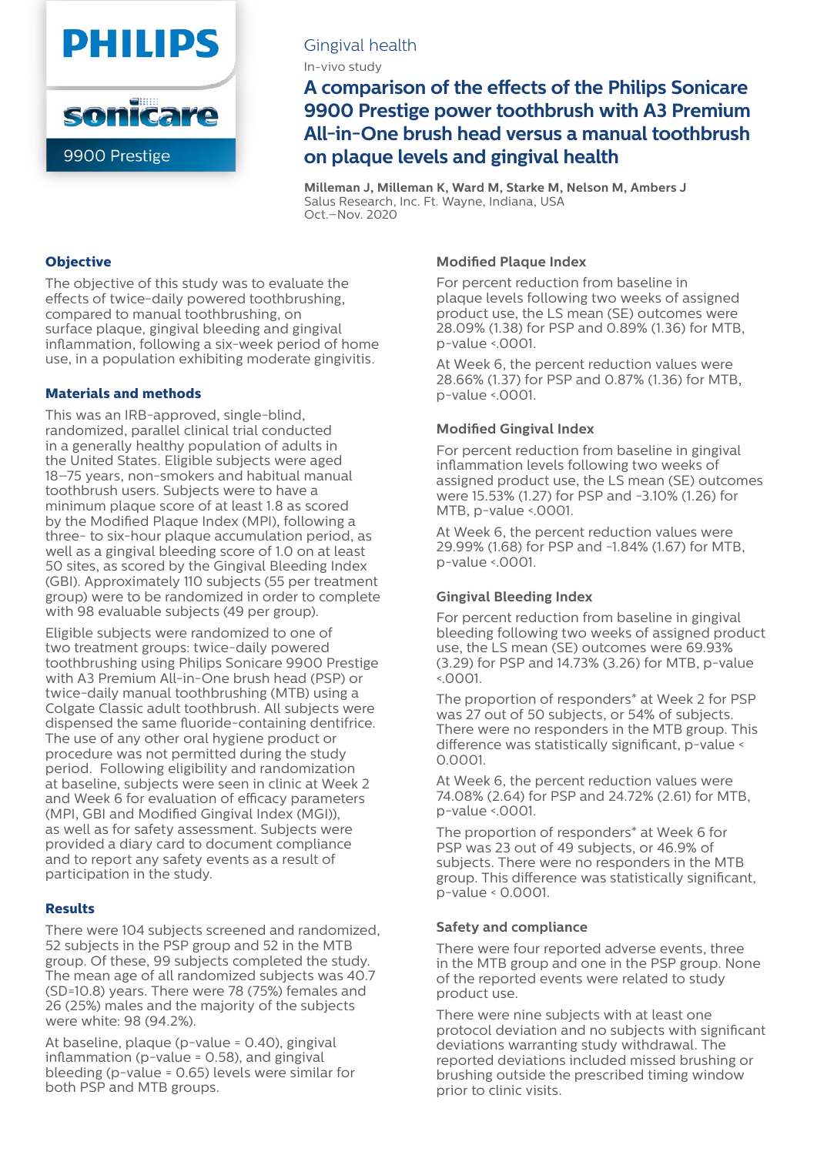

# Gingival health

In-vivo study

**A comparison of the effects of the Philips Sonicare 9900 Prestige power toothbrush with A3 Premium All-in-One brush head versus a manual toothbrush on plaque levels and gingival health**

**Milleman J, Milleman K, Ward M, Starke M, Nelson M, Ambers J** Salus Research, Inc. Ft. Wayne, Indiana, USA Oct.–Nov. 2020

# **Objective**

The objective of this study was to evaluate the effects of twice-daily powered toothbrushing, compared to manual toothbrushing, on surface plaque, gingival bleeding and gingival inflammation, following a six-week period of home use, in a population exhibiting moderate gingivitis.

### **Materials and methods**

This was an IRB-approved, single-blind, randomized, parallel clinical trial conducted in a generally healthy population of adults in the United States. Eligible subjects were aged 18–75 years, non-smokers and habitual manual toothbrush users. Subjects were to have a minimum plaque score of at least 1.8 as scored by the Modified Plaque Index (MPI), following a three- to six-hour plaque accumulation period, as well as a gingival bleeding score of 1.0 on at least 50 sites, as scored by the Gingival Bleeding Index (GBI). Approximately 110 subjects (55 per treatment group) were to be randomized in order to complete with 98 evaluable subjects (49 per group).

Eligible subjects were randomized to one of two treatment groups: twice-daily powered toothbrushing using Philips Sonicare 9900 Prestige with A3 Premium All-in-One brush head (PSP) or twice-daily manual toothbrushing (MTB) using a Colgate Classic adult toothbrush. All subjects were dispensed the same fluoride-containing dentifrice. The use of any other oral hygiene product or procedure was not permitted during the study period. Following eligibility and randomization at baseline, subjects were seen in clinic at Week 2 and Week 6 for evaluation of efficacy parameters (MPI, GBI and Modified Gingival Index (MGI)), as well as for safety assessment. Subjects were provided a diary card to document compliance and to report any safety events as a result of participation in the study.

#### **Results**

There were 104 subjects screened and randomized, 52 subjects in the PSP group and 52 in the MTB group. Of these, 99 subjects completed the study. The mean age of all randomized subjects was 40.7 (SD=10.8) years. There were 78 (75%) females and 26 (25%) males and the majority of the subjects were white: 98 (94.2%).

At baseline, plaque (p-value = 0.40), gingival inflammation (p-value = 0.58), and gingival bleeding (p-value = 0.65) levels were similar for both PSP and MTB groups.

## **Modified Plaque Index**

For percent reduction from baseline in plaque levels following two weeks of assigned product use, the LS mean (SE) outcomes were 28.09% (1.38) for PSP and 0.89% (1.36) for MTB, p-value <.0001.

At Week 6, the percent reduction values were 28.66% (1.37) for PSP and 0.87% (1.36) for MTB, p-value <.0001.

### **Modified Gingival Index**

For percent reduction from baseline in gingival inflammation levels following two weeks of assigned product use, the LS mean (SE) outcomes were 15.53% (1.27) for PSP and -3.10% (1.26) for MTB, p-value <.0001.

At Week 6, the percent reduction values were 29.99% (1.68) for PSP and -1.84% (1.67) for MTB, p-value <.0001.

# **Gingival Bleeding Index**

For percent reduction from baseline in gingival bleeding following two weeks of assigned product use, the LS mean (SE) outcomes were 69.93% (3.29) for PSP and 14.73% (3.26) for MTB, p-value <.0001.

The proportion of responders\* at Week 2 for PSP was 27 out of 50 subjects, or 54% of subjects. There were no responders in the MTB group. This difference was statistically significant, p-value < 0.0001.

At Week 6, the percent reduction values were 74.08% (2.64) for PSP and 24.72% (2.61) for MTB, p-value <.0001.

The proportion of responders\* at Week 6 for PSP was 23 out of 49 subjects, or 46.9% of subjects. There were no responders in the MTB group. This difference was statistically significant, p-value < 0.0001.

#### **Safety and compliance**

There were four reported adverse events, three in the MTB group and one in the PSP group. None of the reported events were related to study product use.

There were nine subjects with at least one protocol deviation and no subjects with significant deviations warranting study withdrawal. The reported deviations included missed brushing or brushing outside the prescribed timing window prior to clinic visits.